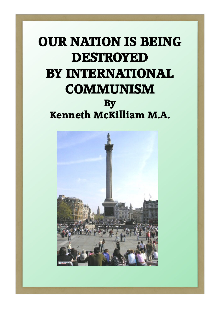# **OUR NATION IS BEING DESTROYED BY INTERNATIONAL COMMUNISM**

**By Kenneth McKilliam M.A.**

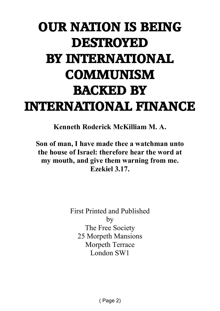## **OUR NATION IS BEING DESTROYED BY INTERNATIONAL COMMUNISM BACKED BY INTERNATIONAL FINANCE**

**Kenneth Roderick McKilliam M. A.**

**Son of man, I have made thee a watchman unto the house of Israel: therefore hear the word at my mouth, and give them warning from me. Ezekiel 3.17.**

> First Printed and Published by The Free Society 25 Morpeth Mansions Morpeth Terrace London SW1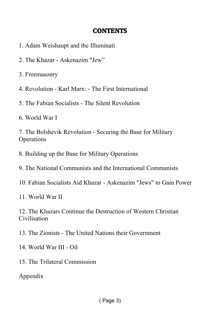#### **CONTENTS**

- 1. Adam Weishaupt and the Illuminati
- 2. The Khazar Askenazim "Jew"
- 3. Freemasonry
- 4. Revolution Karl Marx: The First International
- 5. The Fabian Socialists The Silent Revolution
- 6. World War I
- 7. The Bolshevik Revolution Securing the Base for Military Operations
- 8. Building up the Base for Military Operations
- 9. The National Communists and the International Communists
- 10. Fabian Socialists Aid Khazar Askenazim "Jews" to Gain Power
- 11. World War II
- 12. The Khazars Continue the Destruction of Western Christian Civilisation
- 13. The Zionists The United Nations their Government
- 14. World War III Oil
- 15. The Trilateral Commission

Appendix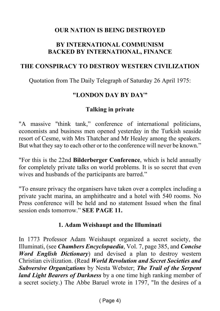#### **OUR NATION IS BEING DESTROYED**

#### **BY INTERNATIONAL COMMUNISM BACKED BY INTERNATIONAL, FINANCE**

#### **THE CONSPIRACY TO DESTROY WESTERN CIVILIZATION**

Quotation from The Daily Telegraph of Saturday 26 April 1975:

#### **"LONDON DAY BY DAY"**

#### **Talking in private**

"A massive "think tank," conference of international politicians, economists and business men opened yesterday in the Turkish seaside resort of Cesme, with Mrs Thatcher and Mr Healey among the speakers. But what they say to each other or to the conference will never be known."

"For this is the 22nd **Bilderberger Conference**, which is held annually for completely private talks on world problems. It is so secret that even wives and husbands of the participants are barred."

"To ensure privacy the organisers have taken over a complex including a private yacht marina, an amphitheatre and a hotel with 540 rooms. No Press conference will be held and no statement Issued when the final session ends tomorrow." **SEE PAGE 11.**

#### **1. Adam Weishaupt and the Illuminati**

In 1773 Professor Adam Weishaupt organized a secret society, the Illuminati, (see *Chambers Encyclopaedia*, Vol. 7, page 385, and *Concise Word English Dictionary*) and devised a plan to destroy western Christian civilization. (Read *World Revolution and Secret Societies and Subversive Organizations* by Nesta Webster; *The Trail of the Serpent land Light Bearers of Darkness* by a one time high ranking member of a secret society.) The Abbe Baruel wrote in 1797, "In the desires of a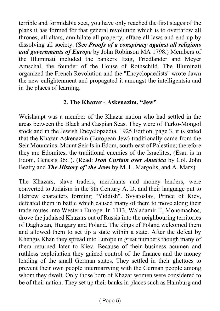terrible and formidable sect, you have only reached the first stages of the plans it has formed for that general revolution which is to overthrow all thrones, all altars, annihilate all property, efface all laws and end up by dissolving all society. (See *Proofs of a conspiracy against all religions and governments of Europe* by John Robinson MA 1798.) Members of the Illuminati included the bankers Itzig, Friedlander and Meyer Amschal, the founder of the House of Rothschild. The Illuminati organized the French Revolution and the "Encyclopaedists" wrote dawn the new enlightenment and propagated it amongst the intelligentsia and in the places of learning.

#### **2. The Khazar - Askenazim. "Jew"**

Weishaupt was a member of the Khazar nation who had settled in the areas between the Black and Caspian Seas. They were of Turko-Mongol stock and in the Jewish Encyclopaedia, 1925 Edition, page 3, it is stated that the Khazar-Askenazim (European Jew) traditionally came from the Seir Mountains. Mount Seir Is in Edom, south-east of Palestine; therefore they are Edomites, the traditional enemies of the Israelites, (Esau is in Edom, Genesis 36:1). (Read: *Iron Curtain over America* by Col. John Beatty and *The History of' the Jews* by M. L. Margolis, and A. Marx).

The Khazars, slave traders, merchants and money lenders, were converted to Judaism in the 8th Century A. D. and their language put to Hebrew characters forming "Yiddish". Svyatoslav, Prince of Kiev, defeated them in battle which caused many of them to move along their trade routes into Western Europe. In 1113, Waladamir II, Monomachos, drove the judaised Khazars out of Russia into the neighbouring territories of Daghtstan, Hungary and Poland. The kings of Poland welcomed them and allowed them to set tip a state within a state. After the defeat by Khengis Khan they spread into Europe in great numbers though many of them returned later to Kiev. Because of their business acumen and ruthless exploitation they gained control of the finance and the money lending of the small German states. They settled in their ghettoes to prevent their own people intermarrying with the German people among whom they dwelt. Only those born of Khazar women were considered to be of their nation. They set up their banks in places such as Hamburg and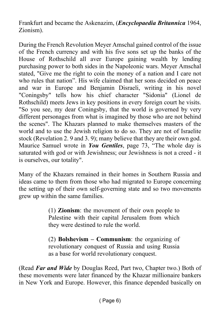Frankfurt and became the Askenazim, (*Encyclopaedia Britannica* 1964, Zionism).

During the French Revolution Meyer Amschal gained control of the issue of the French currency and with his five sons set up the banks of the House of Rothschild all aver Europe gaining wealth by lending purchasing power to both sides in the Napoleonic wars. Meyer Amschal stated, "Give me the right to coin the money of a nation and I care not who rules that nation". His wife claimed that her sons decided on peace and war in Europe and Benjamin Disraeli, writing in his novel "Coningsby" tells how his chief character "Sidonia" (Lionel de Rothschild) meets Jews in key positions in every foreign court he visits. "So you see, my dear Coningsby, that the world is governed by very different personages from what is imagined by those who are not behind the scenes". The Khazars planned to make themselves masters of the world and to use the Jewish religion to do so. They are not of Israelite stock (Revelation 2. 9 and 3. 9); many believe that they are their own god. Maurice Samuel wrote in *You Gentiles*, page 73, "The whole day is saturated with god or with Jewishness; our Jewishness is not a creed - it is ourselves, our totality".

Many of the Khazars remained in their homes in Southern Russia and ideas came to them from those who had migrated to Europe concerning the setting up of their own self-governing state and so two movements grew up within the same families.

> (1) **Zionism**: the movement of their own people to Palestine with their capital Jerusalem from which they were destined to rule the world.

> (2) **Bolshevism – Communism**: the organizing of revolutionary conquest of Russia and using Russia as a base for world revolutionary conquest.

(Read *Far and Wide* by Douglas Reed, Part two, Chapter two.) Both of these movements were later financed by the Khazar millionaire bankers in New York and Europe. However, this finance depended basically on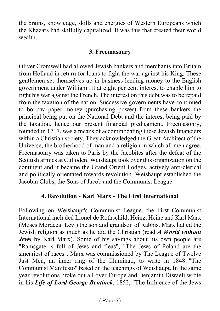the brains, knowledge, skills and energies of Western Europeans which the Khazars had skilfully capitalized. It was this that created their world wealth.

#### **3. Freemasonry**

Oliver Cromwell had allowed Jewish bankers and merchants into Britain from Holland in return for loans to fight the war against his King. These gentlemen set themselves up in business lending money to the English government under William III at eight per cent interest to enable him to fight his war against the French. The interest on this debt was to be repaid from the taxation of the nation. Successive governments have continued to borrow paper money (purchasing power) from these bankers the principal being put on the National Debt and the interest being paid by the taxation, hence our present financial predicament. Freemasonry, founded in 1717, was a means of accommodating these Jewish financiers within a Christian society. They acknowledged the Great Architect of the Universe, the brotherhood of man and a religion in which all men agree. Freemasonry was taken to Paris by the Jacobites after the defeat of the Scottish armies at Culloden. Weishaupt took over this organization on the continent and it became the Grand Orient Lodges, actively anti-clerical and politically orientated towards revolution. Weishaupt established the Jacobin Clubs, the Sons of Jacob and the Communist League.

#### **4. Revolution - Karl Marx - The First International**

Following on Weishaupt's Communist League, the First Communist International included Lionel de Rothschild, Heinz, Heine and Karl Marx (Moses Mordecai Levi) the son and grandson of Rabbis. Marx hat ed the Jewish religion as much as he did the Christian (read *A World without Jews* by Karl Marx). Some of his sayings about his own people are "Ramsgate is full of Jews and fleas", "The Jews of Poland are the smeariest of races". Marx was commissioned by The League of Twelve Just Men, an inner ring of the Illuminati, to write in 1848 "The Communist Manifesto" based on the teachings of Weishaupt. In the same year revolutions broke out all over Europe and Benjamin Disraeli wrote in his *Life of Lord George Bentinck*, 1852, "The Influence of the Jews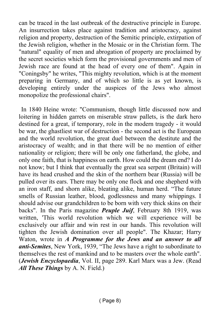can be traced in the last outbreak of the destructive principle in Europe. An insurrection takes place against tradition and aristocracy, against religion and property, destruction of the Semitic principle, extirpation of the Jewish religion, whether in the Mosaic or in the Christian form. The "natural" equality of men and abrogation of property are proclaimed by the secret societies which form the provisional governments and men of Jewish race are found at the head of every one of them". Again in "Coningsby" he writes, "This mighty revolution, which is at the moment preparing in Germany, and of which so little is as yet known, is developing entirely under the auspices of the Jews who almost monopolize the professional chairs".

 In 1840 Heine wrote: "Communism, though little discussed now and loitering in hidden garrets on miserable straw pallets, is the dark hero destined for a great, if temporary, role in the modern tragedy - it would be war, the ghastliest war of destruction - the second act is the European and the world revolution, the great duel between the destitute and the aristocracy of wealth; and in that there will be no mention of either nationality or religion; there will be only one fatherland, the globe, and only one faith, that is happiness on earth. How could the dream end? I do not know; but I think that eventually the great sea serpent (Britain) will have its head crushed and the skin of the northern bear (Russia) will be pulled over its ears. There may be only one flock and one shepherd with an iron staff, and shorn alike, bleating alike, human herd. "The future smells of Russian leather, blood, godlessness and many whippings. I should advise our grandchildren to be born with very thick skins on their backs". In the Paris magazine *Peuple Juif*, February 8th 1919, was written, 'This world revolution which we will experience will be exclusively our affair and win rest in our hands. This revolution will tighten the Jewish domination over all people". The Khazar; Harry Waton, wrote in *A Programme for the Jews and an answer to all anti-Semites*, New York, 1939, "The Jews have a right to subordinate to themselves the rest of mankind and to be masters over the whole earth". (*Jewish Encyclopaedia*, Vol. II, page 289. Karl Marx was a Jew. (Read *All These Things* by A. N. Field.)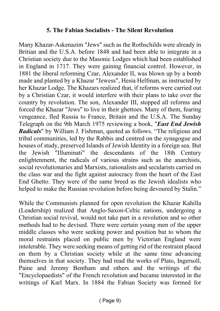#### **5. The Fabian Socialists - The Silent Revolution**

Many Khazar-Askenazim "Jews" such as the Rothschilds were already in Britian and the U.S.A. before 1848 and had been able to integrate in a Christian society due to the Masonic Lodges which had been established in England in 1717. They were gaining financial control. However, in 1881 the liberal reforming Czar, Alexander II, was blown up by a bomb made and planted by a Khazar "Jewess", Hesia Helfman, as instructed by her Khazar Lodge. The Khazars realized that, if reforms were carried out by a Christian Czar, it would interfere with their plans to take over the country by revolution. The son, Alexander III, stopped all reforms and forced the Khazar "Jews" to live in their ghettoes. Many of them, fearing vengeance, fled Russia to France, Britain and the U.S.A. The Sunday Telegraph on the 9th March 1975 reviewing a book, "*East End Jewish Radicals*" by William J. Fishman, quoted as follows. "The religious and tribal communities, led by the Rabbis and centred on the synagogue and houses of study, preserved Islands of Jewish Identity in a foreign sea. But the Jewish "Illuminati" the descendants of the 18th Century enlightenment, the radicals of various strains such as the anarchists, social revolutionaries and Marxists, rationalists and secularists carried on the class war and the fight against autocracy from the heart of the East End Ghetto. They were of the same breed as the Jewish idealists who helped to make the Russian revolution before being devoured by Stalin."

While the Communists planned for open revolution the Khazar Kahilla (Leadership) realized that Anglo-Saxon-Celtic nations, undergoing a Christian social revival, would not take part in a revolution and so other methods had to be devised. There were certain young men of the upper middle classes who were seeking power and position but to whom the moral restraints placed on public men by Victorian England were intolerable. They were seeking means of getting rid of the restraint placed on them by a Christian society while at the same time advancing themselves in that society. They had read the works of Plato, Ingersoll, Paine and Jeremy Bentham and others and the writings of the "Encyclopaedists" of the French revolution and became interested in the writings of Karl Marx. In 1884 the Fabian Society was formed for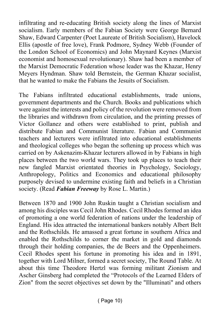infiltrating and re-educating British society along the lines of Marxist socialism. Early members of the Fabian Society were George Bernard Shaw, Edward Carpenter (Poet Laureate of British Socialism), Havelock Ellis (apostle of free love), Frank Podmore, Sydney Webb (Founder of the London School of Economics) and John Maynard Keynes (Marxist economist and homosexual revolutionary). Shaw had been a member of the Marxist Democratic Federation whose leader was the Khazar, Henry Meyers Hyndman. Shaw told Bernstein, the German Khazar socialist, that he wanted to make the Fabians the Jesuits of Socialism.

The Fabians infiltrated educational establishments, trade unions, government departments and the Church. Books and publications which were against the interests and policy of the revolution were removed from the libraries and withdrawn from circulation, and the printing presses of Victor Gollanez and others were established to print, publish and distribute Fabian and Communist literature. Fabian and Communist teachers and lecturers were infiltrated into educational establishments and theological colleges who began the softening up process which was carried on by Askenazim-Khazar lecturers allowed in by Fabians in high places between the two world wars. They took up places to teach their new fangled Marxist orientated theories in Psychology, Sociology, Anthropology, Politics and Economics and educational philosophy purposely devised to undermine existing faith and beliefs in a Christian society. (Read *Fabian Freeway* by Rose L. Martin.)

Between 1870 and 1900 John Ruskin taught a Christian socialism and among his disciples was Cecil John Rhodes. Cecil Rhodes formed an idea of promoting a one world federation of nations under the leadership of England. His idea attracted the international bankers notably Albert Belt and the Rothschilds. He amassed a great fortune in southern Africa and enabled the Rothschilds to corner the market in gold and diamonds through their holding companies, the de Beers and the Oppenheimers. Cecil Rhodes spent his fortune in promoting his idea and in 1891, together with Lord Milner, formed a secret society, The Round Table. At about this time Theodore Hertzl was forming militant Zionism and Ascher Ginsberg had completed the "Protocols of the Learned Elders of Zion" from the secret objectives set down by the "Illuminati" and others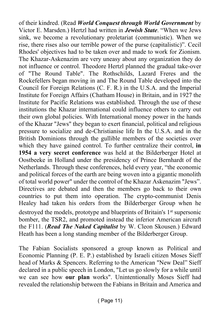of their kindred. (Read *World Conquest through World Government* by Victor E. Marsden.) Hertzl had written in *Jewish State*. "When we Jews sink, we become a revolutionary proletariat (communistic). When we rise, there rises also our terrible power of the purse (capitalistic)". Cecil Rhodes' objectives had to be taken over and made to work for Zionism. The Khazar-Askenazim are very uneasy about any organization they do not influence or control. Theodore Hertzl planned the gradual take-over of "The Round Table". The Rothschilds, Lazard Freres and the Rockefellers began moving in and The Round Table developed into the Council for Foreign Relations (C. F. R.) in the U.S.A. and the Imperial Institute for Foreign Affairs (Chatham House) in Britain, and in 1927 the Institute for Pacific Relations was established. Through the use of these institutions the Khazar international could influence others to carry out their own global policies. With International money power in the hands of the Khazar "Jews" they began to exert financial, political and religious pressure to socialize and de-Christianise life In the U.S.A. and in the British Dominions through the gullible members of the societies over which they have gained control. To further centralize their control, **in 1954 a very secret conference** was held at the Bilderberger Hotel at Oostbeeke in Holland under the presidency of Prince Bernhardt of the Netherlands. Through these conferences, held every year, "the economic and political forces of the earth are being woven into a gigantic monolith of total world power" under the control of the Khazar Askenazim "Jews". Directives are debated and then the members go back to their own countries to put them into operation. The crypto-communist Denis Healey had taken his orders from the Bilderberger Group when he destroyed the models, prototype and blueprints of Britain's 1<sup>st</sup> supersonic bomber, the TSR2, and promoted instead the inferior American aircraft the F111. (*Read The Naked Capitalist* by W. Cleon Skousen.) Edward Heath has been a long standing member of the Bilderberger Group.

The Fabian Socialists sponsored a group known as Political and Economic Planning (P. E. P.) established by Israeli citizen Moses Sieff head of Marks & Spencers. Referring to the American "New Deal" Sieff declared in a public speech in London, "Let us go slowly for a while until we can see how **our plan** works". Unintentionally Moses Sieff had revealed the relationship between the Fabians in Britain and America and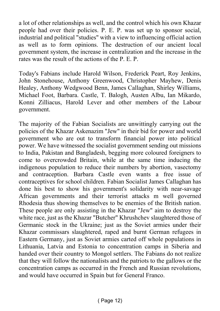a lot of other relationships as well, and the control which his own Khazar people had over their policies. P. E. P. was set up to sponsor social, industrial and political "studies" with a view to influencing official action as well as to form opinions. The destruction of our ancient local government system, the increase in centralization and the increase in the rates was the result of the actions of the P. E. P.

Today's Fabians include Harold Wilson, Frederick Peart, Roy Jenkins, John Stonehouse, Anthony Greenwood, Christopher Mayhew, Denis Healey, Anthony Wedgwood Benn, James Callaghan, Shirley Williams, Michael Foot, Barbara. Castle, T. Balogh, Austen Albu, Ian Mikardo, Konni Zilliacus, Harold Lever and other members of the Labour government.

The majority of the Fabian Socialists are unwittingly carrying out the policies of the Khazar Askenazim "Jew" in their bid for power and world government who are out to transform financial power into political power. We have witnessed the socialist government sending out missions to India, Pakistan and Bangladesh, begging more coloured foreigners to come to overcrowded Britain, while at the same time inducing the indigenous population to reduce their numbers by abortion, vasectomy and contraception. Barbara Castle even wants a free issue of contraceptives for school children. Fabian Socialist James Callaghan has done his best to show his government's solidarity with near-savage African governments and their terrorist attacks m well governed Rhodesia thus showing themselves to be enemies of the British nation. These people are only assisting in the Khazar "Jew" aim to destroy the white race, just as the Khazar "Butcher" Khrushchev slaughtered those of Germanic stock in the Ukraine; just as the Soviet armies under their Khazar commissars slaughtered, raped and burnt German refugees in Eastern Germany, just as Soviet armies carted off whole populations in Lithuania, Latvia and Estonia to concentration camps in Siberia and handed over their country to Mongol settlers. The Fabians do not realize that they will follow the nationalists and the patriots to the gallows or the concentration camps as occurred in the French and Russian revolutions, and would have occurred in Spain but for General Franco.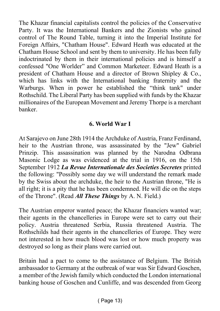The Khazar financial capitalists control the policies of the Conservative Party. It was the International Bankers and the Zionists who gained control of The Round Table, turning it into the Imperial Institute for Foreign Affairs, "Chatham House". Edward Heath was educated at the Chatham House School and sent by them to university. He has been fully indoctrinated by them in their international policies and is himself a confessed "One Worlder" and Common Marketeer. Edward Heath is a president of Chatham House and a director of Brown Shipley & Co., which has links with the International banking fraternity and the Warburgs. When in power he established the "think tank" under Rothschild. The Liberal Party has been supplied with funds by the Khazar millionaires of the European Movement and Jeremy Thorpe is a merchant banker.

#### **6. World War I**

At Sarajevo on June 28th 1914 the Archduke of Austria, Franz Ferdinand, heir to the Austrian throne, was assassinated by the "Jew" Gabriel Prinzip. This assassination was planned by the Narodna Odbrana Masonic Lodge as was evidenced at the trial in 1916, on the 15th September 1912 *La Revue Internationale des Societies Secretes* printed the following: "Possibly some day we will understand the remark made by the Swiss about the archduke, the heir to the Austrian throne, "He is all right; it is a pity that he has been condemned. He will die on the steps of the Throne". (Read *All These Things* by A. N. Field.)

The Austrian emperor wanted peace; the Khazar financiers wanted war; their agents in the chancelleries in Europe were set to carry out their policy. Austria threatened Serbia, Russia threatened Austria. The Rothschilds had their agents in the chancelleries of Europe. They were not interested in how much blood was lost or how much property was destroyed so long as their plans were carried out.

Britain had a pact to come to the assistance of Belgium. The British ambassador to Germany at the outbreak of war was Sir Edward Goschen, a member of the Jewish family which conducted the London international banking house of Goschen and Cunliffe, and was descended from Georg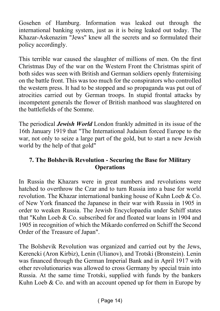Gosehen of Hamburg. Information was leaked out through the international banking system, just as it is being leaked out today. The Khazar-Askenazim "Jews" knew all the secrets and so formulated their policy accordingly.

This terrible war caused the slaughter of millions of men. On the first Christmas Day of the war on the Western Front the Christmas spirit of both sides was seen with British and German soldiers openly fraternising on the battle front. This was too much for the conspirators who controlled the western press. It had to be stopped and so propaganda was put out of atrocities carried out by German troops. In stupid frontal attacks by incompetent generals the flower of British manhood was slaughtered on the battlefields of the Somme.

The periodical *Jewish World* London frankly admitted in its issue of the 16th January 1919 that "The International Judaism forced Europe to the war, not only to seize a large part of the gold, but to start a new Jewish world by the help of that gold"

#### **7. The Bolshevik Revolution - Securing the Base for Military Operations**

In Russia the Khazars were in great numbers and revolutions were hatched to overthrow the Czar and to turn Russia into a base for world revolution. The Khazar international banking house of Kuhn Loeb & Co. of New York financed the Japanese in their war with Russia in 1905 in order to weaken Russia. The Jewish Encyclopaedia under Schiff states that "Kuhn Loeb & Co. subscribed for and floated war loans in 1904 and 1905 in recognition of which the Mikardo conferred on Schiff the Second Order of the Treasure of Japan".

The Bolshevik Revolution was organized and carried out by the Jews, Kerencki (Aron Kirbiz), Lenin (Ulianov), and Trotski (Bronstein). Lenin was financed through the German Imperial Bank and in April 1917 with other revolutionaries was allowed to cross Germany by special train into Russia. At the same time Trotski, supplied with funds by the bankers Kuhn Loeb & Co. and with an account opened up for them in Europe by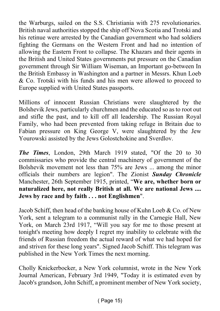the Warburgs, sailed on the S.S. Christiania with 275 revolutionaries. British naval authorities stopped the ship off Nova Scotia and Trotski and his retinue were arrested by the Canadian government who had soldiers fighting the Germans on the Western Front and had no intention of allowing the Eastern Front to collapse. The Khazars and their agents in the British and United States governments put pressure on the Canadian government through Sir William Wiseman, an Important go-between In the British Embassy in Washington and a partner in Messrs. Khun Loeb & Co. Trotski with his funds and his men were allowed to proceed to Europe supplied with United States passports.

Millions of innocent Russian Christians were slaughtered by the Bolshevik Jews, particularly churchmen and the educated so as to root out and stifle the past, and to kill off all leadership. The Russian Royal Family, who had been prevented from taking refuge in Britain due to Fabian pressure on King George V, were slaughtered by the Jew Yourowski assisted by the Jews Golostchokine and Sverdlov.

*The Times*, London, 29th March 1919 stated, "Of the 20 to 30 commissaries who provide the central machinery of government of the Bolshevik movement not less than 75% are Jews ... among the minor officials their numbers are legion". The Zionist *Sunday Chronicle* Manchester, 26th September 1915, printed, "**We are, whether born or naturalized here, not really British at all. We are national Jews .... Jews by race and by faith . . . not Englishmen**".

Jacob Schiff, then head of the banking house of Kuhn Loeb & Co. of New York, sent a telegram to a communist rally in the Carnegie Hall, New York, on March 23rd 1917, "Will you say for me to those present at tonight's meeting how deeply I regret my inability to celebrate with the friends of Russian freedom the actual reward of what we had hoped for and striven for these long years". Signed Jacob Schiff. This telegram was published in the New York Times the next morning.

Cholly Knickerbocker, a New York columnist, wrote in the New York Journal American, February 3rd 1949, "Today it is estimated even by Jacob's grandson, John Schiff, a prominent member of New York society,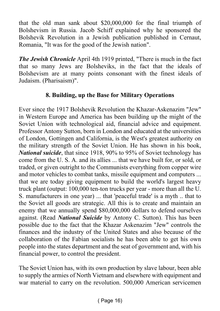that the old man sank about \$20,000,000 for the final triumph of Bolshevism in Russia. Jacob Schiff explained why he sponsored the Bolshevik Revolution in a Jewish publication published in Cernaut, Romania, "It was for the good of the Jewish nation".

*The Jewish Chronicle* April 4th 1919 printed, "There is much in the fact that so many Jews are Bolsheviks, in the fact that the ideals of Bolshevism are at many points consonant with the finest ideals of Judaism. (Pharisaism)".

#### **8. Building, up the Base for Military Operations**

Ever since the 1917 Bolshevik Revolution the Khazar-Askenazim "Jew" in Western Europe and America has been building up the might of the Soviet Union with technological aid, financial advice and equipment. Professor Antony Sutton, born in London and educated at the universities of London, Gottingen and California, is the West's greatest authority on the military strength of the Soviet Union. He has shown in his book, *National suicide*, that since 1918, 90% to 95% of Soviet technology has come from the U. S. A. and its allies ... that we have built for, or sold, or traded, or given outright to the Communists everything from copper wire and motor vehicles to combat tanks, missile equipment and computers ... that we are today giving equipment to build the world's largest heavy truck plant (output: 100,000 ten-ton trucks per year - more than all the U. S. manufacturers in one year) ... that 'peaceful trade' is a myth .. that to the Soviet all goods are strategic. All this is to create and maintain an enemy that we annually spend \$80,000,000 dollars to defend ourselves against. (Read *National Suicide* by Antony C. Sutton). This has been possible due to the fact that the Khazar Askenazim "Jew" controls the finances and the industry of the United States and also because of the collaboration of the Fabian socialists he has been able to get his own people into the states department and the seat of government and, with his financial power, to control the president.

The Soviet Union has, with its own production by slave labour, been able to supply the armies of North Vietnam and elsewhere with equipment and war material to carry on the revolution. 500,000 American servicemen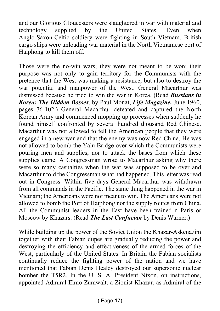and our Glorious Gloucesters were slaughtered in war with material and technology supplied by the United States. Even when technology supplied by the United States. Even when Anglo-Saxon-Celtic soldiery were fighting in South Vietnam, British cargo ships were unloading war material in the North Vietnamese port of Haiphong to kill them off.

Those were the no-win wars; they were not meant to be won; their purpose was not only to gain territory for the Communists with the pretence that the West was making a resistance, but also to destroy the war potential and manpower of the West. General Macarthur was dismissed because he tried to win the war in Korea. (Read *Russians in Korea: The Hidden Bosses*, by Paul Monat, *Life Magazine,* June 1960, pages 76-102.) General Macarthur defeated and captured the North Korean Army and commenced mopping up processes when suddenly he found himself confronted by several hundred thousand Red Chinese. Macarthur was not allowed to tell the American people that they were engaged in a new war and that the enemy was now Red China. He was not allowed to bomb the Yalu Bridge over which the Communists were pouring men and supplies, nor to attack the bases from which these supplies came. A Congressman wrote to Macarthur asking why there were so many casualties when the war was supposed to be over and Macarthur told the Congressman what had happened. This letter was read out in Congress. Within five days General Macarthur was withdrawn from all commands in the Pacific. The same thing happened in the war in Vietnam; the Americans were not meant to win. The Americans were not allowed to bomb the Port of Haiphong nor the supply routes from China. All the Communist leaders in the East have been trained n Paris or Moscow by Khazars. (Read *The Last Confucian* by Denis Warner.)

While building up the power of the Soviet Union the Khazar-Askenazim together with their Fabian dupes are gradually reducing the power and destroying the efficiency and effectiveness of the armed forces of the West, particularly of the United States. In Britain the Fabian socialists continually reduce the fighting power of the nation and we have mentioned that Fabian Denis Healey destroyed our supersonic nuclear bomber the T5R2. In the U. S. A. President Nixon, on instructions, appointed Admiral Elmo Zumwalt, a Zionist Khazar, as Admiral of the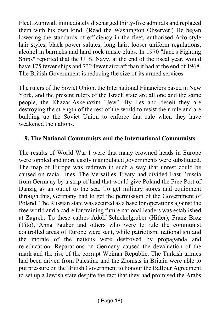Fleet. Zumwalt immediately discharged thirty-five admirals and replaced them with his own kind. (Read the Washington Observer.) He began lowering the standards of efficiency in the fleet, authorised Afro-style hair styles, black power salutes, long hair, looser uniform regulations, alcohol in barracks and hard rock music clubs. In 1970 "Jane's Fighting Ships" reported that the U. S. Navy, at the end of the fiscal year, would have 175 fewer ships and 732 fewer aircraft than it had at the end of 1968. The British Government is reducing the size of its armed services.

The rulers of the Soviet Union, the International Financiers based in New York, and the present rulers of the Israeli state are all one and the same people, the Khazar-Askenazim "Jew". By lies and deceit they are destroying the strength of the rest of the world to resist their rule and are building up the Soviet Union to enforce that rule when they have weakened the nations.

#### **9. The National Communists and the International Communists**

The results of World War I were that many crowned heads in Europe were toppled and more easily manipulated governments were substituted. The map of Europe was redrawn in such a way that unrest could be caused on racial lines. The Versailles Treaty had divided East Prussia from Germany by a strip of land that would give Poland the Free Port of Danzig as an outlet to the sea. To get military stores and equipment through this, Germany had to get the permission of the Government of Poland. The Russian state was secured as a base for operations against the free world and a cadre for training future national leaders was established at Zagreb. To these cadres Adolf Schickelgruber (Hitler), Franz Broz (Tito), Anna Pauker and others who were to rule the communist controlled areas of Europe were sent, while patriotism, nationalism and the morale of the nations were destroyed by propaganda and re-education. Reparations on Germany caused the devaluation of the mark and the rise of the corrupt Weimar Republic. The Turkish armies had been driven from Palestine and the Zionists in Britain were able to put pressure on the British Government to honour the Balfour Agreement to set up a Jewish state despite the fact that they had promised the Arabs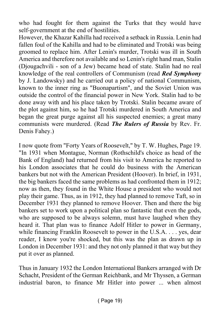who had fought for them against the Turks that they would have self-government at the end of hostilities.

However, the Khazar Kahilla had received a setback in Russia. Lenin had fallen foul of the Kahilla and had to be eliminated and Trotski was being groomed to replace him. After Lenin's murder, Trotski was ill in South America and therefore not available and so Lenin's right hand man, Stalin (Djougachvili - son of a Jew) became head of state. Stalin had no real knowledge of the real controllers of Communism (read *Red Symphony* by J. Landowsky) and he carried out a policy of national Communism, known to the inner ring as "Buonapartism", and the Soviet Union was outside the control of the financial power in New York. Stalin had to be done away with and his place taken by Trotski. Stalin became aware of the plot against him, so he had Trotski murdered in South America and began the great purge against all his suspected enemies; a great many communists were murdered. (Read *The Rulers of Russia* by Rev. Fr. Denis Fahey.)

I now quote from "Forty Years of Roosevelt," by T. W. Hughes, Page 19. "In 1931 when Montague, Norman (Rothschild's choice as head of the Bank of England) had returned from his visit to America he reported to his London associates that he could do business with the American bankers but not with the American President (Hoover). In brief, in 1931, the big bankers faced the same problems as had confronted them in 1912; now as then, they found in the White House a president who would not play their game. Thus, as in 1912, they had planned to remove Taft, so in December 1931 they planned to remove Hoover. Then and there the big bankers set to work upon a political plan so fantastic that even the gods, who are supposed to be always solemn, must have laughed when they heard it. That plan was to finance Adolf Hitler to power in Germany, while financing Franklin Roosevelt to power in the U.S.A. . . . yes, dear reader, I know you're shocked, but this was the plan as drawn up in London in December 1931: and they not only planned it that way but they put it over as planned.

Thus in January 1932 the London International Bankers arranged with Dr Schacht, President of the German Reichbank, and Mr Thyssen, a German industrial baron, to finance Mr Hitler into power ... when almost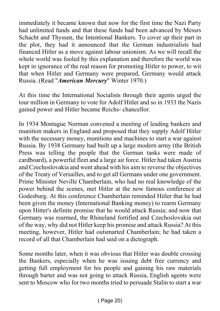immediately it became known that now for the first time the Nazi Party had unlimited funds and that these funds had been advanced by Messrs Schacht and Thyssen, the Intentional Bankers. To cover up their part in the plot, they had it announced that the German industrialists had financed Hitler as a move against labour unionism. As we will recall the whole world was fooled by this explanation and therefore the world was kept in ignorance of the real reason for promoting Hitler to power, to wit that when Hitler and Germany were prepared, Germany would attack Russia. (Read "*American Mercury*" Winter 1970.)

At this time the International Socialists through their agents urged the tour million in Germany to vote for Adolf Hitler and so in 1933 the Nazis gained power and Hitler became Reichs- chancellor.

In 1934 Montague Norman convened a meeting of leading bankers and munition makers in England and proposed that they supply Adolf Hitler with the necessary money, munitions and machines to start a war against Russia. By 1938 Germany had built up a large modern army (the British Press was telling the people that the German tanks were made of cardboard), a powerful fleet and a large air force. Hitler had taken Austria and Czechoslovakia and went ahead with his aim to reverse the objectives of the Treaty of Versailles, and to get all Germans under one government. Prime Minister Neville Chamberlain, who had no real knowledge of the power behind the scenes, met Hitler at the now famous conference at Godesburg. At this conference Chamberlain reminded Hitler that he had been given the money (International Banking money) to rearm Germany upon Hitter's definite promise that he would attack Russia; and now that Germany was rearmed, the Rhineland fortified and Czechoslovakia out of the way, why did not Hitler keep his promise and attack Russia? At this meeting, however, Hitler had outsmarted Chamberlain; he had taken a record of all that Chamberlain had said on a dictograph.

Some months later, when it was obvious that Hitler was double crossing the Bankers, especially when he was issuing debt free currency and getting full employment for his people and gaining his raw materials through barter and was not going to attack Russia, English agents were sent to Moscow who for two months tried to persuade Stalin to start a war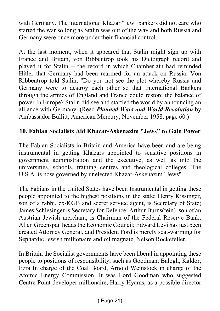with Germany. The international Khazar "Jew" bankers did not care who started the war so long as Stalin was out of the way and both Russia and Germany were once more under their financial control.

At the last moment, when it appeared that Stalin might sign up with France and Britain, von Ribbentrop took his Dictograph record and played it for Stalin -- the record in which Chamberlain had reminded Hitler that Germany had been rearmed for an attack on Russia. Von Ribbentrop told Stalin, "Do you not see the plot whereby Russia and Germany were to destroy each other so that International Bankers through the armies of England and France could restore the balance of power In Europe? Stalin did see and startled the world by announcing an alliance with Germany. (Read *Planned Wars and World Revolution* by Ambassador Bullitt, American Mercury, November 1958, page 60.)

#### **10. Fabian Socialists Aid Khazar-Askenazim "Jews" to Gain Power**

The Fabian Socialists in Britain and America have been and are being instrumental in getting Khazars appointed to sensitive positions in government administration and the executive, as well as into the universities, schools, training centres and theological colleges. The U.S.A. is now governed by unelected Khazar-Askenazim "Jews"

The Fabians in the United States have been Instrumental in getting these people appointed to the highest positions in the state: Henry Kissinger, son of a rabbi, ex-KGB and secret service agent, is Secretary of State; James Schlesinger is Secretary for Defence; Arthur Burns(tein), son of an Austrian Jewish merchant, is Chairman of the Federal Reserve Bank; Allen Greenspan heads the Economic Council; Edward Levi has just been created Attorney General, and President Ford is merely seat-warming for Sephardic Jewish millionaire and oil magnate, Nelson Rockefeller.

In Britain the Socialist governments have been liberal in appointing these people to positions of responsibility, such as Goodman, Balogh, Kaldor, Ezra In charge of the Coal Board, Arnold Weinstock in charge of the Atomic Energy Commission. It was Lord Goodman who suggested Centre Point developer millionaire, Harry Hyams, as a possible director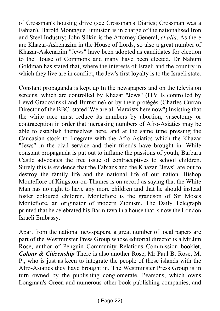of Crossman's housing drive (see Crossman's Diaries; Crossman was a Fabian). Harold Montague Finniston is in charge of the nationalised Iron and Steel Industry; John Silkin is the Attorney General, *et alia*. As there are Khazar-Askenazim in the House of Lords, so also a great number of Khazar-Askenazim "Jews" have been adopted as candidates for election to the House of Commons and many have been elected. Dr Nahum Goldman has stated that, where the interests of Israeli and the country in which they live are in conflict, the Jew's first loyalty is to the Israeli state.

Constant propaganda is kept up In the newspapers and on the television screens, which are controlled by Khazar "Jews" (ITV Is controlled by Lewd Gradovinski and Burnstine) or by their protégés (Charles Curran Director of the BBC. stated 'We are all Marxists here now") Insisting that the white race must reduce its numbers by abortion, vasectomy or contraception in order that increasing numbers of Afro-Asiatics may be able to establish themselves here, and at the same time pressing the Caucasian stock to Integrate with the Afro-Asiatics which the Khazar "Jews" in the civil service and their friends have brought in. While constant propaganda is put out to inflame the passions of youth, Barbara Castle advocates the free issue of contraceptives to school children. Surely this is evidence that the Fabians and the Khazar "Jews" are out to destroy the family life and the national life of our nation. Bishop Montefiore of Kingston-on-Thames is on record as saying that the White Man has no right to have any more children and that he should instead foster coloured children. Montefiore is the grandson of Sir Moses Montefiore, an originator of modern Zionism. The Daily Telegraph printed that he celebrated his Barmitzva in a house that is now the London Israeli Embassy.

Apart from the national newspapers, a great number of local papers are part of the Westminster Press Group whose editorial director is a Mr Jim Rose, author of Penguin Community Relations Commission booklet, *Colour & Citizenship* There is also another Rose, Mr Paul B. Rose, M. P., who is just as keen to integrate the people of these islands with the Afro-Asiatics they have brought in. The Westminster Press Group is in turn owned by the publishing conglomerate, Pearsons, which owns Longman's Green and numerous other book publishing companies, and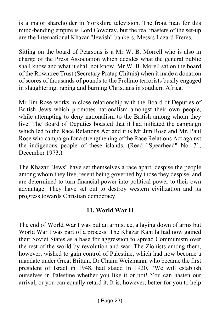is a major shareholder in Yorkshire television. The front man for this mind-bending empire is Lord Cowdray, but the real masters of the set-up are the International Khazar "Jewish" bankers, Messrs Lazard Freres.

Sitting on the board of Pearsons is a Mr W. B. Morrell who is also in charge of the Press Association which decides what the general public shall know and what it shall not know. Mr W. B. Morell sat on the board of the Rowntree Trust (Secretary Pratap Chitnis) when it made a donation of scores of thousands of pounds to the Frelimo terrorists busily engaged in slaughtering, raping and burning Christians in southern Africa.

Mr Jim Rose works in close relationship with the Board of Deputies of British Jews which promotes nationalism amongst their own people, while attempting to deny nationalism to the British among whom they live. The Board of Deputies boasted that it had initiated the campaign which led to the Race Relations Act and it is Mr Jim Rose and Mr. Paul Rose who campaign for a strengthening of the Race Relations Act against the indigenous people of these islands. (Read "Spearhead" No. 71, December 1973.)

The Khazar "Jews" have set themselves a race apart, despise the people among whom they live, resent being governed by those they despise, and are determined to turn financial power into political power to their own advantage. They have set out to destroy western civilization and its progress towards Christian democracy.

#### **11. World War II**

The end of World War I was but an armistice, a laying down of arms but World War I was part of a process. The Khazar Kahilla had now gained their Soviet States as a base for aggression to spread Communism over the rest of the world by revolution and war. The Zionists among them, however, wished to gain control of Palestine, which had now become a mandate under Great Britain. Dr Chaim Weizmann, who became the first president of Israel in 1948, had stated In 1920, "We will establish ourselves in Palestine whether you like it or not! You can hasten our arrival, or you can equally retard it. It is, however, better for you to help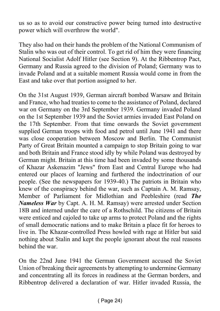us so as to avoid our constructive power being turned into destructive power which will overthrow the world".

They also had on their hands the problem of the National Communism of Stalin who was out of their control. To get rid of him they were financing National Socialist Adolf Hitler (see Section 9). At the Ribbentrop Pact, Germany and Russia agreed to the division of Poland; Germany was to invade Poland and at a suitable moment Russia would come in from the East and take over that portion assigned to her.

On the 31st August 1939, German aircraft bombed Warsaw and Britain and France, who had treaties to come to the assistance of Poland, declared war on Germany on the 3rd September 1939. Germany invaded Poland on the 1st September 1939 and the Soviet armies invaded East Poland on the 17th September. From that time onwards the Soviet government supplied German troops with food and petrol until June 1941 and there was close cooperation between Moscow and Berlin. The Communist Party of Great Britain mounted a campaign to stop Britain going to war and both Britain and France stood idly by while Poland was destroyed by German might. Britain at this time had been invaded by some thousands of Khazar Askenazim "Jews" from East and Central Europe who had entered our places of learning and furthered the indoctrination of our people. (See the newspapers for 1939-40.) The patriots in Britain who knew of the conspiracy behind the war, such as Captain A. M. Ramsay, Member of Parliament for Midlothian and Peebleshire (read *The Nameless War* by Capt. A. H. M. Ramsay) were arrested under Section 18B and interned under the care of a Rothschild. The citizens of Britain were enticed and cajoled to take up arms to protect Poland and the rights of small democratic nations and to make Britain a place fit for heroes to live in. The Khazar-controlled Press howled with rage at Hitler but said nothing about Stalin and kept the people ignorant about the real reasons behind the war.

On the 22nd June 1941 the German Government accused the Soviet Union of breaking their agreements by attempting to undermine Germany and concentrating all its forces in readiness at the German borders, and Ribbentrop delivered a declaration of war. Hitler invaded Russia, the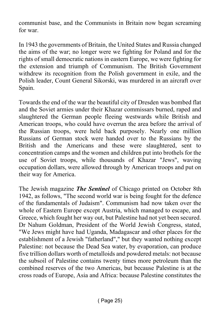communist base, and the Communists in Britain now began screaming for war.

In 1943 the governments of Britain, the United States and Russia changed the aims of the war; no longer were we fighting for Poland and for the rights of small democratic nations in eastern Europe, we were fighting for the extension and triumph of Communism. The British Government withdrew its recognition from the Polish government in exile, and the Polish leader, Count General Sikorski, was murdered in an aircraft over Spain.

Towards the end of the war the beautiful city of Dresden was bombed flat and the Soviet armies under their Khazar commissars burned, raped and slaughtered the German people fleeing westwards while British and American troops, who could have overrun the area before the arrival of the Russian troops, were held back purposely. Nearly one million Russians of German stock were handed over to the Russians by the British and the Americans and these were slaughtered, sent to concentration camps and the women and children put into brothels for the use of Soviet troops, while thousands of Khazar "Jews", waving occupation dollars, were allowed through by American troops and put on their way for America.

The Jewish magazine *The Sentinel* of Chicago printed on October 8th 1942, as follows, "The second world war is being fought for the defence of the fundamentals of Judaism". Communism had now taken over the whole of Eastern Europe except Austria, which managed to escape, and Greece, which fought her way out, but Palestine had not yet been secured. Dr Nahum Goldman, President of the World Jewish Congress, stated, "We Jews might have had Uganda, Madagascar and other places for the establishment of a Jewish "fatherland"," but they wanted nothing except Palestine: not because the Dead Sea water, by evaporation, can produce five trillion dollars worth of metalloids and powdered metals: not because the subsoil of Palestine contains twenty times more petroleum than the combined reserves of the two Americas, but because Palestine is at the cross roads of Europe, Asia and Africa: because Palestine constitutes the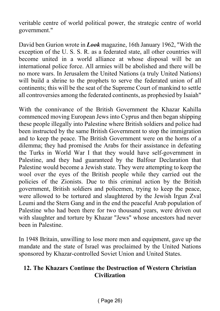veritable centre of world political power, the strategic centre of world government."

David ben Gurion wrote in *Look* magazine, 16th January 1962, "With the exception of the U. S. S. R. as a federated state, all other countries will become united in a world alliance at whose disposal will be an international police force. All armies will be abolished and there will be no more wars. In Jerusalem the United Nations (a truly United Nations) will build a shrine to the prophets to serve the federated union of all continents; this will be the seat of the Supreme Court of mankind to settle all controversies among the federated continents, as prophesied by Isaiah"

With the connivance of the British Government the Khazar Kahilla commenced moving European Jews into Cyprus and then began shipping these people illegally into Palestine where British soldiers and police had been instructed by the same British Government to stop the immigration and to keep the peace. The British Government were on the horns of a dilemma; they had promised the Arabs for their assistance in defeating the Turks in World War I that they would have self-government in Palestine, and they had guaranteed by the Balfour Declaration that Palestine would become a Jewish state. They were attempting to keep the wool over the eyes of the British people while they carried out the policies of the Zionists. Due to this criminal action by the British government, British soldiers and policemen, trying to keep the peace, were allowed to be tortured and slaughtered by the Jewish Irgun Zval Leumi and the Stern Gang and in the end the peaceful Arab population of Palestine who had been there for two thousand years, were driven out with slaughter and torture by Khazar "Jews" whose ancestors had never been in Palestine.

In 1948 Britain, unwilling to lose more men and equipment, gave up the mandate and the state of Israel was proclaimed by the United Nations sponsored by Khazar-controlled Soviet Union and United States.

#### **12. The Khazars Continue the Destruction of Western Christian Civilization**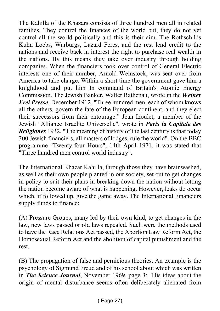The Kahilla of the Khazars consists of three hundred men all in related families. They control the finances of the world but, they do not yet control all the world politically and this is their aim. The Rothschilds Kuhn Loebs, Warburgs, Lazard Feres, and the rest lend credit to the nations and receive back in interest the right to purchase real wealth in the nations. By this means they take over industry through holding companies. When the financiers took over control of General Electric interests one of their number, Arnold Weinstock, was sent over from America to take charge. Within a short time the government gave him a knighthood and put him In command of Britain's Atomic Energy Commission. The Jewish Banker, Walter Rathenau, wrote in the *Weiner Frei Presse*, December 1912, "Three hundred men, each of whom knows all the others, govern the fate of the European continent, and they elect their successors from their entourage." Jean Izoulet, a member of the Jewish "Alliance Israelite Universelle", wrote in *Paris la Capitale des Religiones* 1932, "The meaning of history of the last century is that today 300 Jewish financiers, all masters of lodges, rule the world". On the BBC programme "Twenty-four Hours", 14th April 1971, it was stated that "Three hundred men control world industry".

The International Khazar Kahilla, through those they have brainwashed, as well as their own people planted in our society, set out to get changes in policy to suit their plans in breaking down the nation without letting the nation become aware of what is happening. However, leaks do occur which, if followed up, give the game away. The International Financiers supply funds to finance:

(A) Pressure Groups, many led by their own kind, to get changes in the law, new laws passed or old laws repealed. Such were the methods used to have the Race Relations Act passed, the Abortion Law Reform Act, the Homosexual Reform Act and the abolition of capital punishment and the rest.

(B) The propagation of false and pernicious theories. An example is the psychology of Sigmund Freud and of his school about which was written in *The Science Journal*, November 1969, page 3: "His ideas about the origin of mental disturbance seems often deliberately alienated from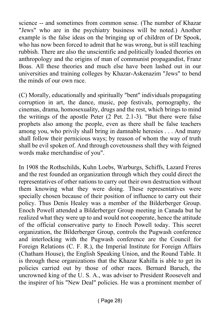science -- and sometimes from common sense. (The number of Khazar "Jews" who are in the psychiatry business will be noted.) Another example is the false ideas on the bringing up of children of Dr Spook, who has now been forced to admit that he was wrong, but is still teaching rubbish. There are also the unscientific and politically loaded theories on anthropology and the origins of man of communist propagandist, Franz Boas. All these theories and much else have been lashed out in our universities and training colleges by Khazar-Askenazim "Jews" to bend the minds of our own race.

(C) Morally, educationally and spiritually "bent" individuals propagating corruption in art, the dance, music, pop festivals, pornography, the cinemas, drama, homosexuality, drugs and the rest, which brings to mind the writings of the apostle Peter (2 Pet. 2.1-3). "But there were false prophets also among the people, even as there shall be false teachers among you, who privily shall bring in damnable heresies . . . And many shall follow their pernicious ways; by reason of whom the way of truth shall be evil spoken of. And through covetousness shall they with feigned words make merchandise of you".

In 1908 the Rothschilds, Kuhn Loebs, Warburgs, Schiffs, Lazard Freres and the rest founded an organization through which they could direct the representatives of other nations to carry out their own destruction without them knowing what they were doing. These representatives were specially chosen because of their position of influence to carry out their policy. Thus Denis Healey was a member of the Bilderberger Group. Enoch Powell attended a Bilderberger Group meeting in Canada but he realized what they were up to and would not cooperate, hence the attitude of the official conservative party to Enoch Powell today. This secret organization, the Bilderberger Group, controls the Pugwash conference and interlocking with the Pugwash conference are the Council for Foreign Relations (C. F. R.), the Imperial Institute for Foreign Affairs (Chatham House), the English Speaking Union, and the Round Table. It is through these organizations that the Khazar Kahilla is able to get its policies carried out by those of other races. Bernard Baruch, the uncrowned king of the U. S. A., was adviser to President Roosevelt and the inspirer of his "New Deal" policies. He was a prominent member of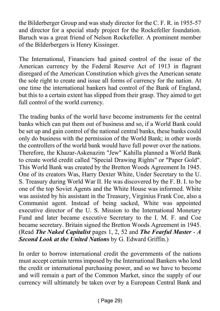the Bilderberger Group and was study director for the C. F. R. in 1955-57 and director for a special study project for the Rockefeller foundation. Baruch was a great friend of Nelson Rockefeller. A prominent member of the Bilderbergers is Henry Kissinger.

The International, Financiers had gained control of the issue of the American currency by the Federal Reserve Act of 1913 in flagrant disregard of the American Constitution which gives the American senate the sole right to create and issue all forms of currency for the nation. At one time the international bankers had control of the Bank of England, but this to a certain extent has slipped from their grasp. They aimed to get full control of the world currency.

The trading banks of the world have become instruments for the central banks which can put them out of business and so, if a World Bank could be set up and gain control of the national central banks, these banks could only do business with the permission of the World Bank; in other words the controllers of the world bank would have full power over the nations. Therefore, the Khazar-Askenazim "Jew" Kahilla planned a World Bank to create world credit called "Special Drawing Rights" or "Paper Gold". This World Bank was created by the Bretton Woods Agreement In 1945. One of its creators Was, Harry Dexter White, Under Secretary to the U. S. Treasury during World War II. He was discovered by the F. B. I. to be one of the top Soviet Agents and the White House was informed. White was assisted by his assistant in the Treasury, Virginius Frank Coe, also a Communist agent. Instead of being sacked, White was appointed executive director of the U. S. Mission to the International Monetary Fund and later became executive Secretary to the I. M. F. and Coe became secretary. Britain signed the Bretton Woods Agreement in 1945. (Read *The Naked Capitalist* pages 1, 2, 52 and *The Fearful Master* - *A Second Look at the United Nations* by G. Edward Griffin.)

In order to borrow international credit the governments of the nations must accept certain terms imposed by the International Bankers who lend the credit or international purchasing power, and so we have to become and will remain a part of the Common Market, since the supply of our currency will ultimately be taken over by a European Central Bank and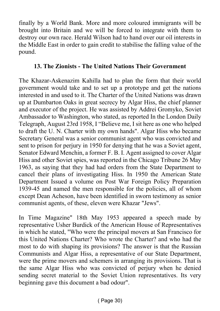finally by a World Bank. More and more coloured immigrants will be brought into Britain and we will be forced to integrate with them to destroy our own race. Herald Wilson had to hand over our oil interests in the Middle East in order to gain credit to stabilise the falling value of the pound.

#### **13. The Zionists - The United Nations Their Government**

The Khazar-Askenazim Kahilla had to plan the form that their world government would take and to set up a prototype and get the nations interested in and used to it. The Charter of the United Nations was drawn up at Dumbarton Oaks in great secrecy by Algar Hiss, the chief planner and executor of the project. He was assisted by Addrei Gromyko, Soviet Ambassador to Washington, who stated, as reported In the London Daily Telegraph, August 23rd 1958, I "Believe me, I sit here as one who helped to draft the U. N. Charter with my own hands". Algar Hiss who became Secretary General was a senior communist agent who was convicted and sent to prison for perjury in 1950 for denying that he was a Soviet agent, Senator Edward Menchin, a former F. B. I. Agent assigned to cover Algar Hiss and other Soviet spies, was reported in the Chicago Tribune 26 May 1963, as saying that they had had orders from the State Department to cancel their plans of investigating Hiss. In 1950 the American State Department Issued a volume on Post War Foreign Policy Preparation 1939-45 and named the men responsible for the policies, all of whom except Dean Acheson, have been identified in sworn testimony as senior communist agents, of these, eleven were Khazar "Jews".

In Time Magazine" 18th May 1953 appeared a speech made by representative Usher Burdick of the American House of Representatives in which he stated, "Who were the principal movers at San Francisco for this United Nations Charter? Who wrote the Charter? and who had the most to do with shaping its provisions? The answer is that the Russian Communists and Algar Hiss, a representative of our State Department, were the prime movers and schemers in arranging its provisions. That is the same Algar Hiss who was convicted of perjury when he denied sending secret material to the Soviet Union representatives. Its very beginning gave this document a bad odour".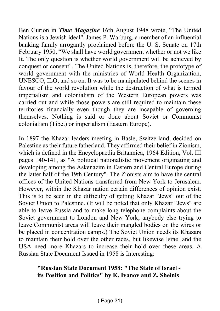Ben Gurion in *Time Magazine* 16th August 1948 wrote, "The United Nations is a Jewish ideal". James P. Warburg, a member of an influential banking family arrogantly proclaimed before the U. S. Senate on 17th February 1950, "We shall have world government whether or not we like It. The only question is whether world government will be achieved by conquest or consent". The United Nations is, therefore, the prototype of world government with the ministries of World Health Organization, UNESCO, ILO, and so on. It was to be manipulated behind the scenes in favour of the world revolution while the destruction of what is termed imperialism and colonialism of the Western European powers was carried out and while those powers are still required to maintain these territories financially even though they are incapable of governing themselves. Nothing is said or done about Soviet or Communist colonialism (Tibet) or imperialism (Eastern Europe).

In 1897 the Khazar leaders meeting in Basle, Switzerland, decided on Palestine as their future fatherland. They affirmed their belief in Zionism, which is defined in the Encyclopaedia Britannica, 1964 Edition, Vol. III pages 140-141, as "A political nationalistic movement originating and developing among the Askenazim in Eastern and Central Europe during the latter half of the 19th Century". The Zionists aim to have the central offices of the United Nations transferred from New York to Jerusalem. However, within the Khazar nation certain differences of opinion exist. This is to be seen in the difficulty of getting Khazar "Jews" out of the Soviet Union to Palestine. (It will be noted that only Khazar "Jews" are able to leave Russia and to make long telephone complaints about the Soviet government to London and New York; anybody else trying to leave Communist areas will leave their mangled bodies on the wires or be placed in concentration camps.) The Soviet Union needs its Khazars to maintain their hold over the other races, but likewise Israel and the USA need more Khazars to increase their hold over these areas. A Russian State Document Issued in 1958 is Interesting:

#### **"Russian State Document 1958: "The State of Israel its Position and Politics" by K. Ivanov and Z. Sheinis**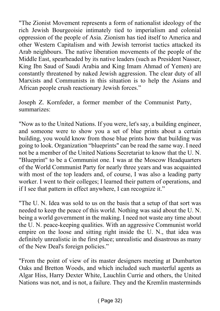"The Zionist Movement represents a form of nationalist ideology of the rich Jewish Bourgeoisie intimately tied to imperialism and colonial oppression of the people of Asia. Zionism has tied itself to America and other Western Capitalism and with Jewish terrorist tactics attacked its Arab neighbours. The native liberation movements of the people of the Middle East, spearheaded by its native leaders (such as President Nasser, King Ibn Saud of Saudi Arabia and King Imam Ahmad of Yemen) are constantly threatened by naked Jewish aggression. The clear duty of all Marxists and Communists in this situation is to help the Asians and African people crush reactionary Jewish forces."

Joseph Z. Kornfeder, a former member of the Communist Party, summarizes:

"Now as to the United Nations. If you were, let's say, a building engineer, and someone were to show you a set of blue prints about a certain building, you would know from those blue prints how that building was going to look. Organization "blueprints" can be read the same way. I need not be a member of the United Nations Secretariat to know that the U. N. "Blueprint" to be a Communist one. I was at the Moscow Headquarters of the World Communist Party for nearly three years and was acquainted with most of the top leaders and, of course, I was also a leading party worker. I went to their colleges; I learned their pattern of operations, and if I see that pattern in effect anywhere, I can recognize it."

"The U. N. Idea was sold to us on the basis that a setup of that sort was needed to keep the peace of this world. Nothing was said about the U. N. being a world government in the making. I need not waste any time about the U. N. peace-keeping qualities. With an aggressive Communist world empire on the loose and sitting right inside the U. N., that idea was definitely unrealistic in the first place; unrealistic and disastrous as many of the New Deal's foreign policies."

"From the point of view of its master designers meeting at Dumbarton Oaks and Bretton Woods, and which included such masterful agents as Algar Hiss, Harry Dexter White, Lauchlin Currie and others, the United Nations was not, and is not, a failure. They and the Kremlin masterminds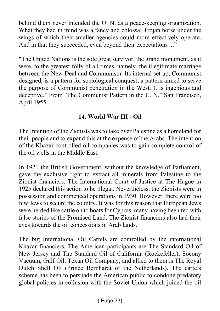behind them never intended the U. N. as a peace-keeping organization. What they had in mind was a fancy and colossal Trojan horse under the wings of which their smaller agencies could more effectively operate. And in that they succeeded, even beyond their expectations ..."

"The United Nations is the sole great survivor, the grand monument, as it were, to the greatest folly of all times, namely, the illegitimate marriage between the New Deal and Communism. Its internal set up, Communist designed, is a pattern for sociological conquest; a pattern aimed to serve the purpose of Communist penetration in the West. It is ingenious and deceptive." From "The Communist Pattern in the U. N." San Francisco, April 1955.

#### **14. World War III - Oil**

The Intention of the Zionists was to take over Palestine as a homeland for their people and to expand this at the expense of the Arabs. The intention of the Khazar controlled oil companies was to gain complete control of the oil wells in the Middle East.

In 1921 the British Government, without the knowledge of Parliament, gave the exclusive right to extract all minerals from Palestine to the Zionist financiers. The International Court of Justice at The Hague in 1925 declared this action to be illegal. Nevertheless, the Zionists were in possession and commenced operations in 1930. However, there were too few Jews to secure the country. It was for this reason that European Jews were herded like cattle on to boats for Cyprus, many having been fed with false stories of the Promised Land. The Zionist financiers also had their eyes towards the oil concessions in Arab lands.

The big International Oil Cartels are controlled by the international Khazar financiers. The American participants are The Standard Oil of New Jersey and The Standard Oil of California (Rockefeller), Socony Vacuum, Gulf Oil, Texan Oil Company, and allied to them is The Royal Dutch Shell Oil (Prince Bernhardt of the Netherlands). The cartels scheme has been to persuade the American public to condone predatory global policies in collusion with the Soviet Union which joined the oil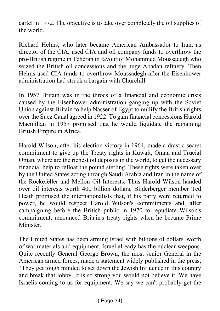cartel in 1972. The objective is to take over completely the oil supplies of the world.

Richard Helms, who later became American Ambassador to Iran, as director of the CIA, used CIA and oil company funds to overthrow the pro-British regime in Teheran in favour of Mohammed Moussadegh who seized the British oil concessions and the huge Abadan refinery. Then Helms used CIA funds to overthrow Moussadegh after the Eisenhower administration had struck a bargain with Churchill.

In 1957 Britain was in the throes of a financial and economic crisis caused by the Eisenhower administration ganging up with the Soviet Union against Britain to help Nasser of Egypt to nullify the British rights over the Suez Canal agreed in 1922. To gain financial concessions Harold Macmillan in 1957 promised that he would liquidate the remaining British Empire in Africa.

Harold Wilson, after his election victory in 1964, made a drastic secret commitment to give up the Treaty rights in Kuwait, Oman and Trucial Oman, where are the richest oil deposits in the world, to get the necessary financial help to refloat the pound sterling. These rights were taken over by the United States acting through Saudi Arabia and Iran in the name of the Rockefeller and Mellon Oil Interests. Thus Harold Wilson handed over oil interests worth 400 billion dollars. Bilderberger member Ted Heath promised the internationalists that, if his party were returned to power, he would respect Harold Wilson's commitments and, after campaigning before the British public in 1970 to repudiate Wilson's commitment, renounced Britain's treaty rights when he became Prime **Minister** 

The United States has been arming Israel with billions of dollars' worth of war materials and equipment. Israel already has the nuclear weapons. Quite recently General George Brown, the most senior General in the American armed forces, made a statement widely published in the press, "They get tough minded to set down the Jewish Influence in this country and break that lobby. It is so strong you would not believe it. We have Israelis coming to us for equipment. We say we can't probably get the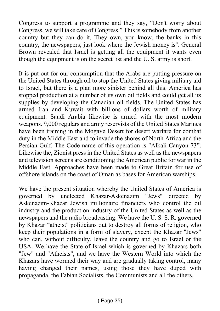Congress to support a programme and they say, "Don't worry about Congress, we will take care of Congress." This is somebody from another country but they can do it. They own, you know, the banks in this country, the newspapers; just look where the Jewish money is". General Brown revealed that Israel is getting all the equipment it wants even though the equipment is on the secret list and the U. S. army is short.

It is put out for our consumption that the Arabs are putting pressure on the United States through oil to stop the United States giving military aid to Israel, but there is a plan more sinister behind all this. America has stopped production at a number of its own oil fields and could get all its supplies by developing the Canadian oil fields. The United States has armed Iran and Kuwait with billions of dollars worth of military equipment. Saudi Arabia likewise is armed with the most modern weapons. 9,000 regulars and army reservists of the United States Marines have been training in the Mogave Desert for desert warfare for combat duty in the Middle East and to invade the shores of North Africa and the Persian Gulf. The Code name of this operation is "Alkali Canyon 73". Likewise the, Zionist press in the United States as well as the newspapers and television screens are conditioning the American public for war in the Middle East. Approaches have been made to Great Britain for use of offshore islands on the coast of Oman as bases for American warships.

We have the present situation whereby the United States of America is governed by unelected Khazar-Askenazim "Jews" directed by Askenazim-Khazar Jewish millionaire financiers who control the oil industry and the production industry of the United States as well as the newspapers and the radio broadcasting. We have the U. S. S. R. governed by Khazar "atheist" politicians out to destroy all forms of religion, who keep their populations in a form of slavery, except the Khazar "Jews" who can, without difficulty, leave the country and go to Israel or the USA. We have the State of Israel which is governed by Khazars both "Jew" and "Atheists", and we have the Western World into which the Khazars have wormed their way and are gradually taking control, many having changed their names, using those they have duped with propaganda, the Fabian Socialists, the Communists and all the others.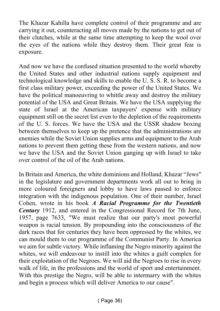The Khazar Kahilla have complete control of their programme and are carrying it out, counteracting all moves made by the nations to get out of their clutches, while at the same time attempting to keep the wool over the eyes of the nations while they destroy them. Their great fear is exposure.

And now we have the confused situation presented to the world whereby the United States and other industrial nations supply equipment and technological knowledge and skills to enable the U. S. S. R. to become a first class military power, exceeding the power of the United States. We have the political manoeuvring to whittle away and destroy the military potential of the USA and Great Britain. We have the USA supplying the state of Israel at the American taxpayers' expense with military equipment still on the secret list even to the depletion of the requirements of the U. S. forces. We have the USA and the USSR shadow boxing between themselves to keep up the pretence that the administrations are enemies while the Soviet Union supplies arms and equipment to the Arab nations to prevent them getting these from the western nations, and now we have the USA and the Soviet Union ganging up with Israel to take over control of the oil of the Arab nations.

In Britain and America, the white dominions and Holland, Khazar "Jews" in the legislature and government departments work all out to bring in more coloured foreigners and lobby to have laws passed to enforce integration with the indigenous population. One of their number, Israel Cohen, wrote in his book *A Racial Programme for the Twentieth Century* 1912, and entered in the Congressional Record for 7th June, 1957, page 7633, "We must realize that our party's most powerful weapon is racial tension. By propounding into the consciousness of the dark races that for centuries they have been oppressed by the whites, we can mould them to our programme of the Communist Party. In America we aim for subtle victory. While inflaming the Negro minority against the whites, we will endeavour to instill into the whites a guilt complex for their exploitation of the Negroes. We will aid the Negroes to rise in every walk of life, in the professions and the world of sport and entertainment. With this prestige the Negro, will be able to intermarry with the whites and begin a process which will deliver America to our cause".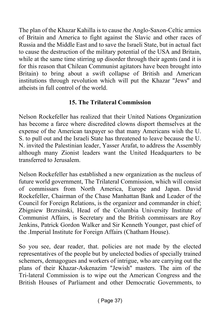The plan of the Khazar Kahilla is to cause the Anglo-Saxon-Celtic armies of Britain and America to fight against the Slavic and other races of Russia and the Middle East and to save the Israeli State, but in actual fact to cause the destruction of the military potential of the USA and Britain, while at the same time stirring up disorder through their agents (and it is for this reason that Chilean Communist agitators have been brought into Britain) to bring about a swift collapse of British and American institutions through revolution which will put the Khazar ''Jews'' and atheists in full control of the world.

#### **15. The Trilateral Commission**

Nelson Rockefeller has realized that their United Nations Organization has become a farce where discredited clowns disport themselves at the expense of the American taxpayer so that many Americans wish the U. S. to pull out and the Israeli State has threatened to leave because the U. N. invited the Palestinian leader, Yasser Arafat, to address the Assembly although many Zionist leaders want the United Headquarters to be transferred to Jerusalem.

Nelson Rockefeller has established a new organization as the nucleus of future world government, The Trilateral Commission, which will consist of commissars from North America, Europe and Japan. David Rockefeller, Chairman of the Chase Manhattan Bank and Leader of the Council for Foreign Relations, is the organizer and commander in chief; Zbigniew Brzrsinski, Head of the Columbia University Institute of Communist Affairs, is Secretary and the British commissars are Roy Jenkins, Patrick Gordon Walker and Sir Kenneth Younger, past chief of the .Imperial Institute for Foreign Affairs (Chatham House).

So you see, dear reader, that. policies are not made by the elected representatives of the people but by unelected bodies of specially trained schemers, demagogues and workers of intrigue, who are carrying out the plans of their Khazar-Askenazim "Jewish" masters. The aim of the Tri-lateral Commission is to wipe out the American Congress and the British Houses of Parliament and other Democratic Governments, to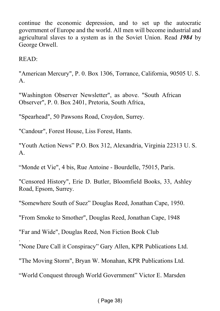continue the economic depression, and to set up the autocratic government of Europe and the world. All men will become industrial and agricultural slaves to a system as in the Soviet Union. Read *1984* by George Orwell.

READ:

"American Mercury", P. 0. Box 1306, Torrance, California, 90505 U. S. A.

"Washington Observer Newsletter", as above. "South African Observer", P. 0. Box 2401, Pretoria, South Africa,

"Spearhead", 50 Pawsons Road, Croydon, Surrey.

"Candour", Forest House, Liss Forest, Hants.

"Youth Action News" P.O. Box 312, Alexandria, Virginia 22313 U. S. A.

"Monde et Vie", 4 bis, Rue Antoine - Bourdelle, 75015, Paris.

"Censored History", Erie D. Butler, Bloomfield Books, 33, Ashley Road, Epsom, Surrey.

"Somewhere South of Suez" Douglas Reed, Jonathan Cape, 1950.

"From Smoke to Smother", Douglas Reed, Jonathan Cape, 1948

"Far and Wide", Douglas Reed, Non Fiction Book Club

. "None Dare Call it Conspiracy" Gary Allen, KPR Publications Ltd.

"The Moving Storm", Bryan W. Monahan, KPR Publications Ltd.

"World Conquest through World Government" Victor E. Marsden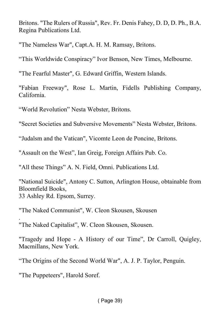Britons. "The Rulers of Russia", Rev. Fr. Denis Fahey, D. D, D. Ph., B.A. Regina Publications Ltd.

"The Nameless War", Capt.A. H. M. Ramsay, Britons.

"This Worldwide Conspiracy" Ivor Benson, New Times, Melbourne.

"The Fearful Master", G. Edward Griffin, Western Islands.

"Fabian Freeway", Rose L. Martin, Fidells Publishing Company, California.

"World Revolution" Nesta Webster, Britons.

"Secret Societies and Subversive Movements" Nesta Webster, Britons.

"Judalsm and the Vatican", Vicomte Leon de Poncine, Britons.

"Assault on the West", Ian Greig, Foreign Affairs Pub. Co.

"All these Things" A. N. Field, Omni. Publications Ltd.

"National Suicide", Antony C. Sutton, Arlington House, obtainable from Bloomfield Books, 33 Ashley Rd. Epsom, Surrey.

"The Naked Communist", W. Cleon Skousen, Skousen

. "The Naked Capitalist", W. Cleon Skousen, Skousen.

"Tragedy and Hope - A History of our Time", Dr Carroll, Quigley, Macmillans, New York.

"The Origins of the Second World War", A. J. P. Taylor, Penguin.

"The Puppeteers", Harold Soref.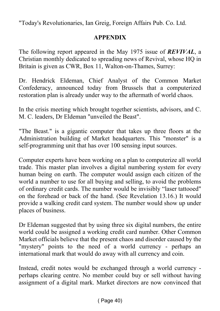"Today's Revolutionaries, Ian Greig, Foreign Affairs Pub. Co. Ltd.

#### **APPENDIX**

The following report appeared in the May 1975 issue of *REVIVAL*, a Christian monthly dedicated to spreading news of Revival, whose HQ in Britain is given as CWR, Box 11, Walton-on-Thames, Surrey:

Dr. Hendrick Eldeman, Chief Analyst of the Common Market Confederacy, announced today from Brussels that a computerized restoration plan is already under way to the aftermath of world chaos.

In the crisis meeting which brought together scientists, advisors, and C. M. C. leaders, Dr Eldeman "unveiled the Beast".

"The Beast." is a gigantic computer that takes up three floors at the Administration building of Market headquarters. This "monster" is a self-programming unit that has over 100 sensing input sources.

Computer experts have been working on a plan to computerize all world trade. This master plan involves a digital numbering system for every human being on earth. The computer would assign each citizen of the world a number to use for all buying and selling, to avoid the problems of ordinary credit cards. The number would be invisibly "laser tattooed" on the forehead or back of the hand. (See Revelation 13.16.) It would provide a walking credit card system. The number would show up under places of business.

Dr Eldeman suggested that by using three six digital numbers, the entire world could be assigned a working credit card number. Other Common Market officials believe that the present chaos and disorder caused by the "mystery" points to the need of a world currency - perhaps an international mark that would do away with all currency and coin.

Instead, credit notes would be exchanged through a world currency perhaps clearing centre. No member could buy or sell without having assignment of a digital mark. Market directors are now convinced that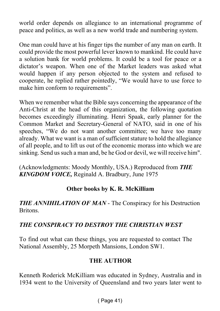world order depends on allegiance to an international programme of peace and politics, as well as a new world trade and numbering system.

One man could have at his finger tips the number of any man on earth. It could provide the most powerful lever known to mankind. He could have a solution bank for world problems. It could be a tool for peace or a dictator's weapon. When one of the Market leaders was asked what would happen if any person objected to the system and refused to cooperate, he replied rather pointedly, "We would have to use force to make him conform to requirements".

When we remember what the Bible says concerning the appearance of the Anti-Christ at the head of this organization, the following quotation becomes exceedingly illuminating. Henri Spaak, early planner for the Common Market and Secretary-General of NATO, said in one of his speeches, "We do not want another committee; we have too many already. What we want is a man of sufficient stature to hold the allegiance of all people, and to lift us out of the economic morass into which we are sinking. Send us such a man and, be he God or devil, we will receive him".

(Acknowledgments: Moody Monthly, USA.) Reproduced from *THE KINGDOM VOICE,* Reginald A. Bradbury, June 1975

#### **Other books by K. R. McKilliam**

*THE ANNIHILATION OF MAN* - The Conspiracy for his Destruction **Britons** 

#### *THE CONSPIRACY TO DESTROY THE CHRISTIAN WEST*

To find out what can these things, you are requested to contact The National Assembly, 25 Morpeth Mansions, London SW1.

#### **THE AUTHOR**

Kenneth Roderick McKilliam was educated in Sydney, Australia and in 1934 went to the University of Queensland and two years later went to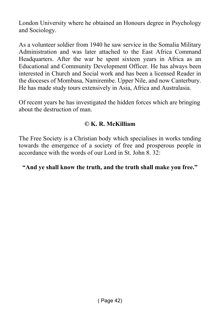London University where he obtained an Honours degree in Psychology and Sociology.

As a volunteer soldier from 1940 he saw service in the Somalia Military Administration and was later attached to the East Africa Command Headquarters. After the war he spent sixteen years in Africa as an Educational and Community Development Officer. He has always been interested in Church and Social work and has been a licensed Reader in the dioceses of Mombasa, Namirembe. Upper Nile, and now Canterbury. He has made study tours extensively in Asia, Africa and Australasia.

Of recent years he has investigated the hidden forces which are bringing about the destruction of man.

#### **© K. R. McKilliam**

The Free Society is a Christian body which specialises in works tending towards the emergence of a society of free and prosperous people in accordance with the words of our Lord in St. John 8. 32:

#### **"And ye shall know the truth, and the truth shall make you free."**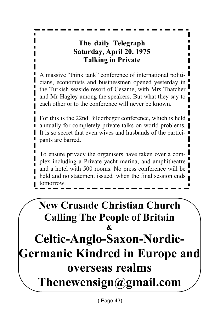#### **The daily Telegraph Saturday, April 20, 1975 Talking in Private**

A massive "think tank" conference of international politicians, economists and businessmen opened yesterday in the Turkish seaside resort of Cesame, with Mrs Thatcher and Mr Hagley among the speakers. But what they say to each other or to the conference will never be known.

For this is the 22nd Bilderbeger conference, which is held annually for completely private talks on world problems. It is so secret that even wives and husbands of the participants are barred.

To ensure privacy the organisers have taken over a complex including a Private yacht marina, and amphitheatre and a hotel with 500 rooms. No press conference will be held and no statement issued when the final session ends tomorrow.

**New Crusade Christian Church Calling The People of Britain & Celtic-Anglo-Saxon-Nordic-Germanic Kindred in Europe and overseas realms Thenewensign@gmail.com**